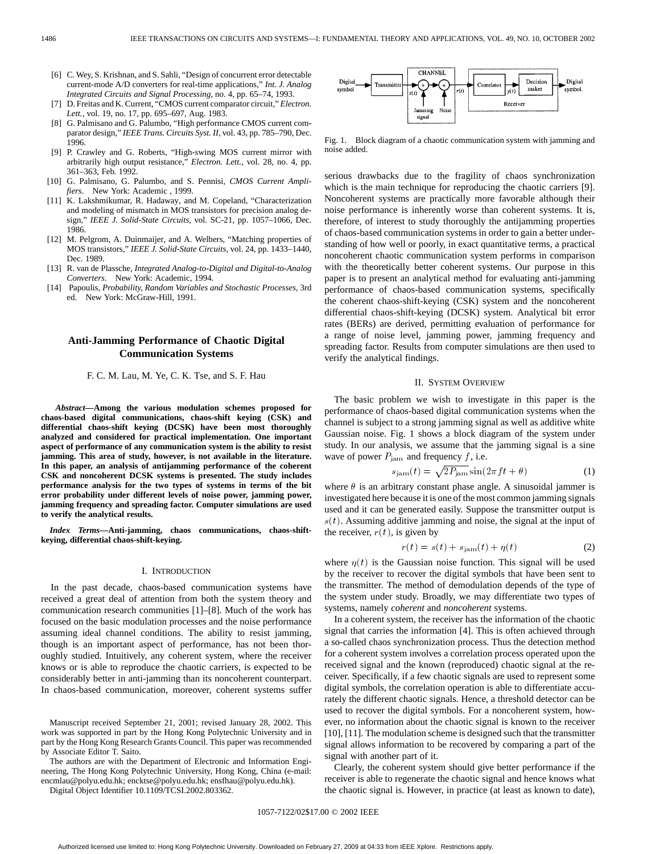- [6] C. Wey, S. Krishnan, and S. Sahli, "Design of concurrent error detectable current-mode A/D converters for real-time applications," *Int. J. Analog Integrated Circuits and Signal Processing*, no. 4, pp. 65–74, 1993.
- [7] D. Freitas and K. Current, "CMOS current comparator circuit," *Electron. Lett.*, vol. 19, no. 17, pp. 695–697, Aug. 1983.
- [8] G. Palmisano and G. Palumbo, "High performance CMOS current comparator design," *IEEE Trans. Circuits Syst. II*, vol. 43, pp. 785–790, Dec. 1996.
- [9] P. Crawley and G. Roberts, "High-swing MOS current mirror with arbitrarily high output resistance," *Electron. Lett.*, vol. 28, no. 4, pp. 361–363, Feb. 1992.
- [10] G. Palmisano, G. Palumbo, and S. Pennisi, *CMOS Current Amplifiers*. New York: Academic , 1999.
- [11] K. Lakshmikumar, R. Hadaway, and M. Copeland, "Characterization and modeling of mismatch in MOS transistors for precision analog design," *IEEE J. Solid-State Circuits*, vol. SC-21, pp. 1057–1066, Dec. 1986.
- [12] M. Pelgrom, A. Duinmaijer, and A. Welbers, "Matching properties of MOS transistors," *IEEE J. Solid-State Circuits*, vol. 24, pp. 1433–1440, Dec. 1989.
- [13] R. van de Plassche, *Integrated Analog-to-Digital and Digital-to-Analog Converters*. New York: Academic, 1994.
- [14] Papoulis, *Probability, Random Variables and Stochastic Processes*, 3rd ed. New York: McGraw-Hill, 1991.

# **Anti-Jamming Performance of Chaotic Digital Communication Systems**

F. C. M. Lau, M. Ye, C. K. Tse, and S. F. Hau

*Abstract—***Among the various modulation schemes proposed for chaos-based digital communications, chaos-shift keying (CSK) and differential chaos-shift keying (DCSK) have been most thoroughly analyzed and considered for practical implementation. One important aspect of performance of any communication system is the ability to resist jamming. This area of study, however, is not available in the literature. In this paper, an analysis of antijamming performance of the coherent CSK and noncoherent DCSK systems is presented. The study includes performance analysis for the two types of systems in terms of the bit error probability under different levels of noise power, jamming power, jamming frequency and spreading factor. Computer simulations are used to verify the analytical results.**

*Index Terms—***Anti-jamming, chaos communications, chaos-shiftkeying, differential chaos-shift-keying.**

#### I. INTRODUCTION

In the past decade, chaos-based communication systems have received a great deal of attention from both the system theory and communication research communities [1]–[8]. Much of the work has focused on the basic modulation processes and the noise performance assuming ideal channel conditions. The ability to resist jamming, though is an important aspect of performance, has not been thoroughly studied. Intuitively, any coherent system, where the receiver knows or is able to reproduce the chaotic carriers, is expected to be considerably better in anti-jamming than its noncoherent counterpart. In chaos-based communication, moreover, coherent systems suffer

Manuscript received September 21, 2001; revised January 28, 2002. This work was supported in part by the Hong Kong Polytechnic University and in part by the Hong Kong Research Grants Council. This paper was recommended by Associate Editor T. Saito.

The authors are with the Department of Electronic and Information Engineering, The Hong Kong Polytechnic University, Hong Kong, China (e-mail: encmlau@polyu.edu.hk; encktse@polyu.edu.hk; ensfhau@polyu.edu.hk).

Digital Object Identifier 10.1109/TCSI.2002.803362.



Fig. 1. Block diagram of a chaotic communication system with jamming and noise added.

serious drawbacks due to the fragility of chaos synchronization which is the main technique for reproducing the chaotic carriers [9]. Noncoherent systems are practically more favorable although their noise performance is inherently worse than coherent systems. It is, therefore, of interest to study thoroughly the antijamming properties of chaos-based communication systems in order to gain a better understanding of how well or poorly, in exact quantitative terms, a practical noncoherent chaotic communication system performs in comparison with the theoretically better coherent systems. Our purpose in this paper is to present an analytical method for evaluating anti-jamming performance of chaos-based communication systems, specifically the coherent chaos-shift-keying (CSK) system and the noncoherent differential chaos-shift-keying (DCSK) system. Analytical bit error rates (BERs) are derived, permitting evaluation of performance for a range of noise level, jamming power, jamming frequency and spreading factor. Results from computer simulations are then used to verify the analytical findings.

#### II. SYSTEM OVERVIEW

The basic problem we wish to investigate in this paper is the performance of chaos-based digital communication systems when the channel is subject to a strong jamming signal as well as additive white Gaussian noise. Fig. 1 shows a block diagram of the system under study. In our analysis, we assume that the jamming signal is a sine wave of power  $P_{\text{jam}}$  and frequency f, i.e.

$$
s_{\text{jam}}(t) = \sqrt{2P_{\text{jam}}\sin(2\pi ft + \theta)}\tag{1}
$$

where  $\theta$  is an arbitrary constant phase angle. A sinusoidal jammer is investigated here because it is one of the most common jamming signals used and it can be generated easily. Suppose the transmitter output is  $s(t)$ . Assuming additive jamming and noise, the signal at the input of the receiver,  $r(t)$ , is given by

$$
r(t) = s(t) + s_{\text{jam}}(t) + \eta(t)
$$
\n<sup>(2)</sup>

where  $\eta(t)$  is the Gaussian noise function. This signal will be used by the receiver to recover the digital symbols that have been sent to the transmitter. The method of demodulation depends of the type of the system under study. Broadly, we may differentiate two types of systems, namely *coherent* and *noncoherent* systems.

In a coherent system, the receiver has the information of the chaotic signal that carries the information [4]. This is often achieved through a so-called chaos synchronization process. Thus the detection method for a coherent system involves a correlation process operated upon the received signal and the known (reproduced) chaotic signal at the receiver. Specifically, if a few chaotic signals are used to represent some digital symbols, the correlation operation is able to differentiate accurately the different chaotic signals. Hence, a threshold detector can be used to recover the digital symbols. For a noncoherent system, however, no information about the chaotic signal is known to the receiver [10], [11]. The modulation scheme is designed such that the transmitter signal allows information to be recovered by comparing a part of the signal with another part of it.

Clearly, the coherent system should give better performance if the receiver is able to regenerate the chaotic signal and hence knows what the chaotic signal is. However, in practice (at least as known to date),

1057-7122/02\$17.00 © 2002 IEEE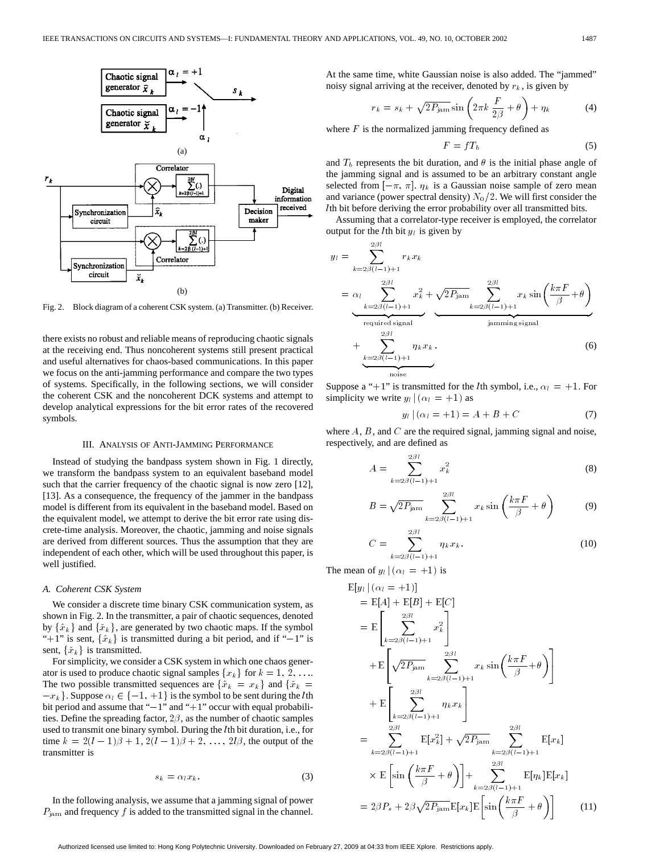$\boldsymbol{y}$ 

 $2.21$ 



Fig. 2. Block diagram of a coherent CSK system. (a) Transmitter. (b) Receiver.

there exists no robust and reliable means of reproducing chaotic signals at the receiving end. Thus noncoherent systems still present practical and useful alternatives for chaos-based communications. In this paper we focus on the anti-jamming performance and compare the two types of systems. Specifically, in the following sections, we will consider the coherent CSK and the noncoherent DCK systems and attempt to develop analytical expressions for the bit error rates of the recovered symbols.

## III. ANALYSIS OF ANTI-JAMMING PERFORMANCE

Instead of studying the bandpass system shown in Fig. 1 directly, we transform the bandpass system to an equivalent baseband model such that the carrier frequency of the chaotic signal is now zero [12], [13]. As a consequence, the frequency of the jammer in the bandpass model is different from its equivalent in the baseband model. Based on the equivalent model, we attempt to derive the bit error rate using discrete-time analysis. Moreover, the chaotic, jamming and noise signals are derived from different sources. Thus the assumption that they are independent of each other, which will be used throughout this paper, is well justified.

### *A. Coherent CSK System*

We consider a discrete time binary CSK communication system, as shown in Fig. 2. In the transmitter, a pair of chaotic sequences, denoted by  $\{\hat{x}_k\}$  and  $\{\check{x}_k\}$ , are generated by two chaotic maps. If the symbol "+1" is sent,  $\{\hat{x}_k\}$  is transmitted during a bit period, and if "-1" is sent,  $\{\tilde{x}_k\}$  is transmitted.

For simplicity, we consider a CSK system in which one chaos generator is used to produce chaotic signal samples  $\{x_k\}$  for  $k = 1, 2, \ldots$ . The two possible transmitted sequences are  $\{\hat{x}_k = x_k\}$  and  $\{\check{x}_k = x_k\}$  $-x_k$ . Suppose  $\alpha_i \in \{-1, +1\}$  is the symbol to be sent during the lth bit period and assume that " $-1$ " and " $+1$ " occur with equal probabilities. Define the spreading factor,  $2\beta$ , as the number of chaotic samples used to transmit one binary symbol. During the lth bit duration, i.e., for time  $k = 2(l - 1)\beta + 1$ ,  $2(l - 1)\beta + 2, \ldots, 2l\beta$ , the output of the transmitter is

$$
s_k = \alpha_l x_k. \tag{3}
$$

In the following analysis, we assume that a jamming signal of power  $P_{\text{jam}}$  and frequency f is added to the transmitted signal in the channel. At the same time, white Gaussian noise is also added. The "jammed" noisy signal arriving at the receiver, denoted by  $r_k$ , is given by

$$
r_k = s_k + \sqrt{2P_{\text{jam}}} \sin \left( 2\pi k \frac{F}{2\beta} + \theta \right) + \eta_k \tag{4}
$$

where  $F$  is the normalized jamming frequency defined as

$$
F = f T_b \tag{5}
$$

and  $T<sub>b</sub>$  represents the bit duration, and  $\theta$  is the initial phase angle of the jamming signal and is assumed to be an arbitrary constant angle selected from  $[-\pi, \pi]$ .  $\eta_k$  is a Gaussian noise sample of zero mean and variance (power spectral density)  $N_0/2$ . We will first consider the lth bit before deriving the error probability over all transmitted bits.

Assuming that a correlator-type receiver is employed, the correlator output for the *l*th bit  $y_l$  is given by

$$
u = \sum_{k=2\beta(l-1)+1}^{2\beta l} r_k x_k
$$
  
\n
$$
= \alpha_l \sum_{k=2\beta(l-1)+1}^{2\beta l} x_k^2 + \sqrt{2P_{\text{jam}}}\sum_{k=2\beta(l-1)+1}^{2\beta l} x_k \sin\left(\frac{k\pi F}{\beta} + \theta\right)
$$
  
\nrequired signal  
\n
$$
+ \sum_{k=2\beta(l-1)+1}^{2\beta l} \eta_k x_k.
$$
  
\n(6)

Suppose a "+1" is transmitted for the *l*th symbol, i.e.,  $\alpha_l = +1$ . For simplicity we write  $y_l | (\alpha_l = +1)$  as

$$
y_l | (\alpha_l = +1) = A + B + C \tag{7}
$$

where  $A$ ,  $B$ , and  $C$  are the required signal, jamming signal and noise, respectively, and are defined as

$$
A = \sum_{k=2\beta(l-1)+1}^{2\beta l} x_k^2
$$
 (8)

$$
B = \sqrt{2P_{\text{jam}}}\sum_{k=2\beta(l-1)+1}^{2\beta l} x_k \sin\left(\frac{k\pi F}{\beta} + \theta\right) \tag{9}
$$

$$
C = \sum_{k=2\beta(l-1)+1}^{2\beta l} \eta_k x_k.
$$
 (10)

The mean of  $y_l | (\alpha_l = +1)$  is

$$
E[y_l | (\alpha_l = +1)]
$$
  
\n
$$
= E[A] + E[B] + E[C]
$$
  
\n
$$
= E\left[\sum_{k=2\beta(l-1)+1}^{2\beta l} x_k^2\right]
$$
  
\n
$$
+ E\left[\sqrt{2P_{\text{jam}}}\sum_{k=2\beta(l-1)+1}^{2\beta l} x_k \sin\left(\frac{k\pi F}{\beta} + \theta\right)\right]
$$
  
\n
$$
+ E\left[\sum_{k=2\beta(l-1)+1}^{2\beta l} \eta_k x_k\right]
$$
  
\n
$$
= \sum_{k=2\beta(l-1)+1}^{2\beta l} E[x_k^2] + \sqrt{2P_{\text{jam}}}\sum_{k=2\beta(l-1)+1}^{2\beta l} E[x_k]
$$
  
\n
$$
\times E\left[\sin\left(\frac{k\pi F}{\beta} + \theta\right)\right] + \sum_{k=2\beta(l-1)+1}^{2\beta l} E[\eta_k] E[x_k]
$$
  
\n
$$
= 2\beta P_s + 2\beta\sqrt{2P_{\text{jam}}} E[x_k] E\left[\sin\left(\frac{k\pi F}{\beta} + \theta\right)\right]
$$
(11)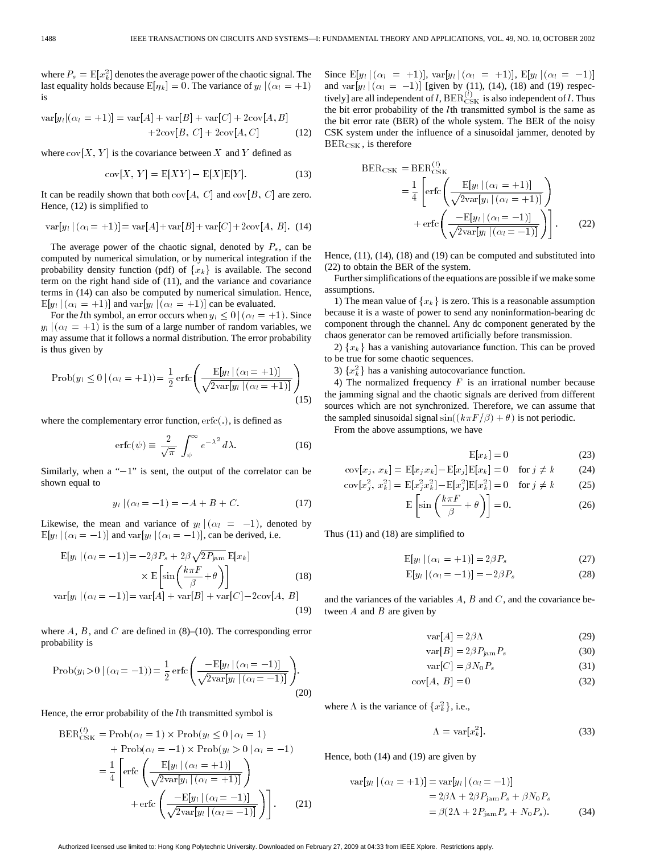where  $P_s = \mathbb{E}[x_k^2]$  denotes the average power of the chaotic signal. The last equality holds because  $E[\eta_k]=0$ . The variance of  $y_l | (\alpha_l = +1)$ is

$$
var[y_l | (\alpha_l = +1)] = var[A] + var[B] + var[C] + 2cov[A, B] + 2cov[B, C] + 2cov[A, C]
$$
 (12)

where  $cov[X, Y]$  is the covariance between X and Y defined as

$$
cov[X, Y] = E[XY] - E[X]E[Y].
$$
\n(13)

It can be readily shown that both  $cov[A, C]$  and  $cov[B, C]$  are zero. Hence, (12) is simplified to

$$
var[y_l | (\alpha_l = +1)] = var[A] + var[B] + var[C] + 2cov[A, B]. (14)
$$

The average power of the chaotic signal, denoted by  $P_s$ , can be computed by numerical simulation, or by numerical integration if the probability density function (pdf) of  $\{x_k\}$  is available. The second term on the right hand side of (11), and the variance and covariance terms in (14) can also be computed by numerical simulation. Hence,  $E[y_l | (\alpha_l = +1)]$  and var $[y_l | (\alpha_l = +1)]$  can be evaluated.

For the *l*th symbol, an error occurs when  $y_l \leq 0 \mid (\alpha_l = +1)$ . Since  $y_l$   $|(\alpha_l = +1)$  is the sum of a large number of random variables, we may assume that it follows a normal distribution. The error probability is thus given by

$$
\text{Prob}(y_l \le 0 \mid (\alpha_l = +1)) = \frac{1}{2} \operatorname{erfc}\left(\frac{\operatorname{E}[y_l \mid (\alpha_l = +1)]}{\sqrt{2 \operatorname{var}[y_l \mid (\alpha_l = +1)]}}\right)
$$
(15)

where the complementary error function,  $erfc(.)$ , is defined as

$$
\operatorname{erfc}(\psi) \equiv \frac{2}{\sqrt{\pi}} \int_{\psi}^{\infty} e^{-\lambda^2} d\lambda. \tag{16}
$$

Similarly, when a " $-1$ " is sent, the output of the correlator can be shown equal to

$$
y_l | (\alpha_l = -1) = -A + B + C. \tag{17}
$$

Likewise, the mean and variance of  $y_l | (\alpha_l = -1)$ , denoted by  $E[y_l | (\alpha_l = -1)]$  and var $[y_l | (\alpha_l = -1)]$ , can be derived, i.e.

$$
E[y_l | (\alpha_l = -1)] = -2\beta P_s + 2\beta \sqrt{2P_{\text{jam}}} E[x_k]
$$

$$
\times E\left[\sin\left(\frac{k\pi F}{\beta} + \theta\right)\right]
$$
(18)  
exp[y\_l | (\alpha\_l = -1)] = var[4] + var[R] + var[C] = 2cov[4, R]

$$
\operatorname{var}[y_l \mid (\alpha_l = -1)] = \operatorname{var}[A] + \operatorname{var}[B] + \operatorname{var}[C] - 2\operatorname{cov}[A, B] \tag{19}
$$

where  $A$ ,  $B$ , and  $C$  are defined in (8)–(10). The corresponding error probability is

$$
\operatorname{Prob}(y_l > 0 \mid (\alpha_l = -1)) = \frac{1}{2} \operatorname{erfc}\left(\frac{-\operatorname{E}[y_l \mid (\alpha_l = -1)]}{\sqrt{2 \operatorname{var}[y_l \mid (\alpha_l = -1)]}}\right). \tag{20}
$$

Hence, the error probability of the *l*th transmitted symbol is

$$
BER_{CSK}^{(l)} = Prob(\alpha_l = 1) \times Prob(y_l \le 0 \mid \alpha_l = 1)
$$
  
+ 
$$
Prob(\alpha_l = -1) \times Prob(y_l > 0 \mid \alpha_l = -1)
$$
  
= 
$$
\frac{1}{4} \left[ erfc \left( \frac{E[y_l \mid (\alpha_l = +1)]}{\sqrt{2var[y_l \mid (\alpha_l = +1)]}} \right) + erfc \left( \frac{-E[y_l \mid (\alpha_l = -1)]}{\sqrt{2var[y_l \mid (\alpha_l = -1)]}} \right) \right].
$$
 (21)

Since  $E[y_l | (\alpha_l = +1)], \text{var}[y_l | (\alpha_l = +1)], E[y_l | (\alpha_l = -1)]$ and  $var[y_l | (\alpha_l = -1)]$  [given by (11), (14), (18) and (19) respectively] are all independent of  $l, \text{BER}_{\text{CSK}}^{(l)}$  is also independent of  $l.$  Thus the bit error probability of the  $l$ th transmitted symbol is the same as the bit error rate (BER) of the whole system. The BER of the noisy CSK system under the influence of a sinusoidal jammer, denoted by  $BER_{CSK}$ , is therefore

$$
BER_{CSK} = BER_{CSK}^{(l)}
$$
  
= 
$$
\frac{1}{4} \left[ erf \left( \frac{E[y_l \mid (\alpha_l = +1)]}{\sqrt{2var[y_l \mid (\alpha_l = +1)]}} \right) + erf \left( \frac{-E[y_l \mid (\alpha_l = -1)]}{\sqrt{2var[y_l \mid (\alpha_l = -1)]}} \right) \right].
$$
 (22)

Hence,  $(11)$ ,  $(14)$ ,  $(18)$  and  $(19)$  can be computed and substituted into (22) to obtain the BER of the system.

Further simplifications of the equations are possible if we make some assumptions.

1) The mean value of  $\{x_k\}$  is zero. This is a reasonable assumption because it is a waste of power to send any noninformation-bearing dc component through the channel. Any dc component generated by the chaos generator can be removed artificially before transmission.

2)  $\{x_k\}$  has a vanishing autovariance function. This can be proved to be true for some chaotic sequences.

3)  $\{x_k^2\}$  has a vanishing autocovariance function.

4) The normalized frequency  $F$  is an irrational number because the jamming signal and the chaotic signals are derived from different sources which are not synchronized. Therefore, we can assume that the sampled sinusoidal signal  $sin((k \pi F/\beta) + \theta)$  is not periodic.

From the above assumptions, we have

$$
\mathbf{E}[x_k] = 0 \tag{23}
$$

$$
cov[x_j, x_k] = E[x_j x_k] - E[x_j]E[x_k] = 0 \quad \text{for } j \neq k \tag{24}
$$

$$
cov[x_j^2, x_k^2] = E[x_j^2 x_k^2] - E[x_j^2]E[x_k^2] = 0 \text{ for } j \neq k \tag{25}
$$

$$
E\left[\sin\left(\frac{k\pi F}{\beta} + \theta\right)\right] = 0.
$$
 (26)

Thus (11) and (18) are simplified to

$$
E[y_l | (\alpha_l = +1)] = 2\beta P_s \tag{27}
$$

$$
E[y_l | (\alpha_l = -1)] = -2\beta P_s \tag{28}
$$

and the variances of the variables  $A$ ,  $B$  and  $C$ , and the covariance between  $A$  and  $B$  are given by

$$
var[A] = 2\beta\Lambda \tag{29}
$$

$$
var[B] = 2\beta P_{jam} P_s \tag{30}
$$

$$
\operatorname{var}[C] = \beta N_0 P_s \tag{31}
$$

$$
cov[A, B] = 0 \tag{32}
$$

where  $\Lambda$  is the variance of  $\{x_k^2\}$ , i.e.,

$$
\Lambda = \text{var}[x_k^2].\tag{33}
$$

Hence, both (14) and (19) are given by

$$
\begin{aligned} \text{var}[y_l \mid (\alpha_l = +1)] &= \text{var}[y_l \mid (\alpha_l = -1)] \\ &= 2\beta\Lambda + 2\beta P_{\text{jam}} P_s + \beta N_0 P_s \\ &= \beta(2\Lambda + 2P_{\text{jam}} P_s + N_0 P_s). \end{aligned} \tag{34}
$$

Authorized licensed use limited to: Hong Kong Polytechnic University. Downloaded on February 27, 2009 at 04:33 from IEEE Xplore. Restrictions apply.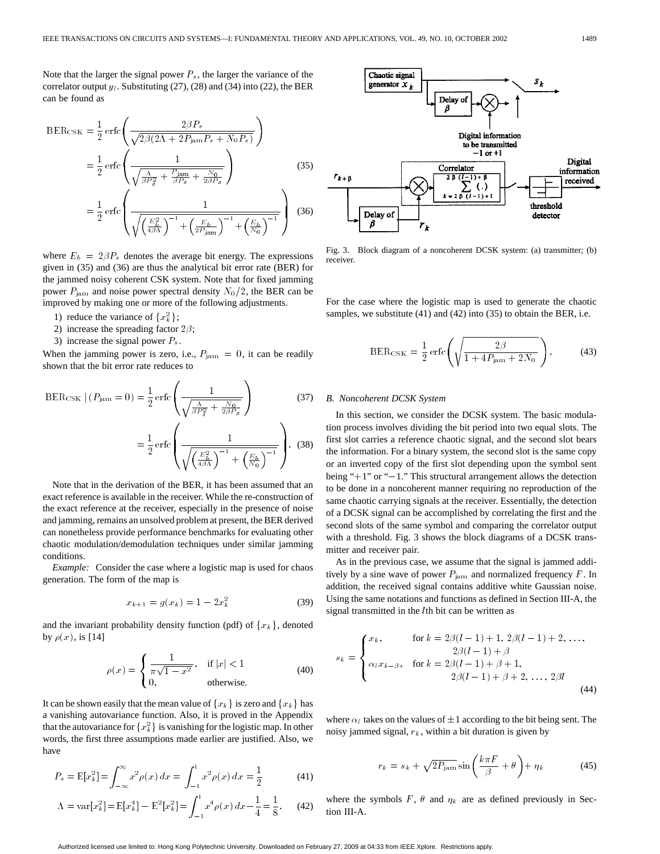Note that the larger the signal power  $P_s$ , the larger the variance of the correlator output  $y_l$ . Substituting (27), (28) and (34) into (22), the BER can be found as

$$
BER_{CSK} = \frac{1}{2} \operatorname{erfc}\left(\frac{2\beta P_s}{\sqrt{2\beta(2\Lambda + 2P_{\text{jam}}P_s + N_0P_s)}}\right)
$$

$$
= \frac{1}{2} \operatorname{erfc}\left(\frac{1}{\sqrt{\frac{\Lambda}{\beta P_s^2} + \frac{P_{\text{jam}}}{\beta P_s} + \frac{N_0}{2\beta P_s}}}\right) \tag{35}
$$

$$
= \frac{1}{2} \operatorname{erfc}\left(\frac{1}{\sqrt{\left(\frac{E_b^2}{4\beta\Lambda}\right)^{-1} + \left(\frac{E_b}{2P_{\text{jam}}}\right)^{-1} + \left(\frac{E_b}{N_0}\right)^{-1}}}\right) \tag{36}
$$

where  $E_b = 2\beta P_s$  denotes the average bit energy. The expressions given in (35) and (36) are thus the analytical bit error rate (BER) for the jammed noisy coherent CSK system. Note that for fixed jamming power  $P_{\text{jam}}$  and noise power spectral density  $N_0/2$ , the BER can be improved by making one or more of the following adjustments.

- 1) reduce the variance of  $\{x_k^2\}$ ;
- 2) increase the spreading factor  $2\beta$ ;
- 3) increase the signal power  $P_s$ .

When the jamming power is zero, i.e.,  $P_{\text{jam}} = 0$ , it can be readily shown that the bit error rate reduces to

$$
BER_{CSK} | (P_{jam} = 0) = \frac{1}{2} \operatorname{erfc} \left( \frac{1}{\sqrt{\frac{A}{\beta P_s^2} + \frac{N_0}{2\beta P_s}}} \right) \tag{37}
$$

$$
= \frac{1}{2} \operatorname{erfc} \left( \frac{1}{\sqrt{\left(\frac{E_b^2}{4\beta \Lambda}\right)^{-1} + \left(\frac{E_b}{N_0}\right)^{-1}}} \right). \tag{38}
$$

Note that in the derivation of the BER, it has been assumed that an exact reference is available in the receiver. While the re-construction of the exact reference at the receiver, especially in the presence of noise and jamming, remains an unsolved problem at present, the BER derived can nonetheless provide performance benchmarks for evaluating other chaotic modulation/demodulation techniques under similar jamming conditions.

*Example:* Consider the case where a logistic map is used for chaos generation. The form of the map is

$$
x_{k+1} = g(x_k) = 1 - 2x_k^2 \tag{39}
$$

and the invariant probability density function (pdf) of  $\{x_k\}$ , denoted by  $\rho(x)$ , is [14]

$$
\rho(x) = \begin{cases} \frac{1}{\pi\sqrt{1-x^2}}, & \text{if } |x| < 1\\ 0, & \text{otherwise.} \end{cases}
$$
(40)

It can be shown easily that the mean value of  ${x_k}$  is zero and  ${x_k}$  has a vanishing autovariance function. Also, it is proved in the Appendix that the autovariance for  $\{x_k^2\}$  is vanishing for the logistic map. In other words, the first three assumptions made earlier are justified. Also, we have

$$
P_s = \mathbb{E}[x_k^2] = \int_{-\infty}^{\infty} x^2 \rho(x) dx = \int_{-1}^{1} x^2 \rho(x) dx = \frac{1}{2}
$$
 (41)

$$
\Lambda = \text{var}[x_k^2] = \mathbb{E}[x_k^4] - \mathbb{E}^2[x_k^2] = \int_{-1}^1 x^4 \rho(x) \, dx - \frac{1}{4} = \frac{1}{8}.\tag{42}
$$



Fig. 3. Block diagram of a noncoherent DCSK system: (a) transmitter; (b) receiver.

For the case where the logistic map is used to generate the chaotic samples, we substitute (41) and (42) into (35) to obtain the BER, i.e.

$$
BER_{CSK} = \frac{1}{2} \operatorname{erfc}\left(\sqrt{\frac{2\beta}{1 + 4P_{\text{jam}} + 2N_0}}\right). \tag{43}
$$

## *B. Noncoherent DCSK System*

In this section, we consider the DCSK system. The basic modulation process involves dividing the bit period into two equal slots. The first slot carries a reference chaotic signal, and the second slot bears the information. For a binary system, the second slot is the same copy or an inverted copy of the first slot depending upon the symbol sent being " $+1$ " or " $-1$ ." This structural arrangement allows the detection to be done in a noncoherent manner requiring no reproduction of the same chaotic carrying signals at the receiver. Essentially, the detection of a DCSK signal can be accomplished by correlating the first and the second slots of the same symbol and comparing the correlator output with a threshold. Fig. 3 shows the block diagrams of a DCSK transmitter and receiver pair.

As in the previous case, we assume that the signal is jammed additively by a sine wave of power  $P_{\text{jam}}$  and normalized frequency F. In addition, the received signal contains additive white Gaussian noise. Using the same notations and functions as defined in Section III-A, the signal transmitted in the *l*th bit can be written as

$$
s_k = \begin{cases} x_k, & \text{for } k = 2\beta(l-1) + 1, 2\beta(l-1) + 2, ..., \\ 2\beta(l-1) + \beta \\ \alpha_l x_{k-\beta}, & \text{for } k = 2\beta(l-1) + \beta + 1, \\ 2\beta(l-1) + \beta + 2, ..., 2\beta l \end{cases}
$$
(44)

where  $\alpha_l$  takes on the values of  $\pm 1$  according to the bit being sent. The noisy jammed signal,  $r_k$ , within a bit duration is given by

$$
r_k = s_k + \sqrt{2P_{\text{jam}}} \sin\left(\frac{k\pi F}{\beta} + \theta\right) + \eta_k \tag{45}
$$

where the symbols F,  $\theta$  and  $\eta_k$  are as defined previously in Section III-A.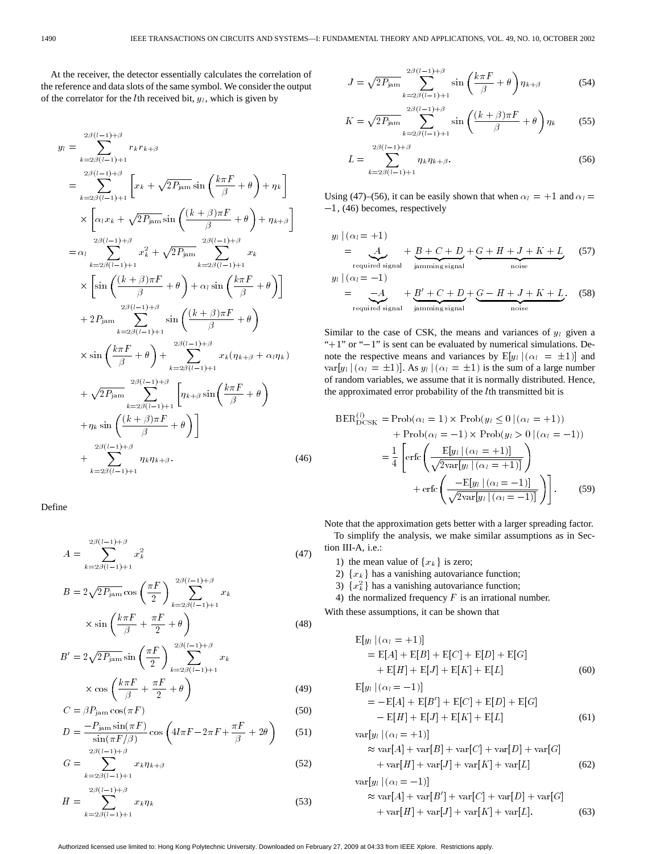At the receiver, the detector essentially calculates the correlation of the reference and data slots of the same symbol. We consider the output of the correlator for the *l*th received bit,  $y_l$ , which is given by

$$
y_{l} = \sum_{k=2\beta(l-1)+\beta}^{2\beta(l-1)+\beta} r_{k}r_{k+\beta}
$$
  
\n
$$
= \sum_{k=2\beta(l-1)+1}^{2\beta(l-1)+\beta} \left[ x_{k} + \sqrt{2P_{\text{jam}}}\sin\left(\frac{k\pi F}{\beta} + \theta\right) + \eta_{k} \right]
$$
  
\n
$$
\times \left[ \alpha_{l}x_{k} + \sqrt{2P_{\text{jam}}}\sin\left(\frac{(k+\beta)\pi F}{\beta} + \theta\right) + \eta_{k+\beta} \right]
$$
  
\n
$$
= \alpha_{l} \sum_{k=2\beta(l-1)+1}^{2\beta(l-1)+\beta} x_{k}^{2} + \sqrt{2P_{\text{jam}}}\sum_{k=2\beta(l-1)+1}^{2\beta(l-1)+\beta} x_{k}
$$
  
\n
$$
\times \left[ \sin\left(\frac{(k+\beta)\pi F}{\beta} + \theta\right) + \alpha_{l}\sin\left(\frac{k\pi F}{\beta} + \theta\right) \right]
$$
  
\n
$$
+ 2P_{\text{jam}} \sum_{k=2\beta(l-1)+1}^{2\beta(l-1)+\beta} \sin\left(\frac{(k+\beta)\pi F}{\beta} + \theta\right)
$$
  
\n
$$
\times \sin\left(\frac{k\pi F}{\beta} + \theta\right) + \sum_{k=2\beta(l-1)+1}^{2\beta(l-1)+\beta} x_{k}(\eta_{k+\beta} + \alpha_{l}\eta_{k})
$$
  
\n
$$
+ \sqrt{2P_{\text{jam}}}\sum_{k=2\beta(l-1)+1}^{2\beta(l-1)+\beta} \left[ \eta_{k+\beta}\sin\left(\frac{k\pi F}{\beta} + \theta\right) \right]
$$
  
\n
$$
+ \eta_{k}\sin\left(\frac{(k+\beta)\pi F}{\beta} + \theta\right)
$$
  
\n
$$
+ \sum_{k=2\beta(l-1)+1}^{2\beta(l-1)+\beta} \eta_{k}\eta_{k+\beta}.
$$
 (46)

Define

$$
A = \sum_{k=2\beta(l-1)+1}^{2\beta(l-1)+\beta} x_k^2
$$
 (47)

$$
B = 2\sqrt{2P_{\text{jam}}} \cos\left(\frac{\pi F}{2}\right) \sum_{k=2\beta(l-1)+1}^{2\beta(l-1)+\beta} x_k
$$

$$
\times \sin\left(\frac{k\pi F}{\beta} + \frac{\pi F}{2} + \theta\right)
$$
(48)

$$
B' = 2\sqrt{2P_{\text{jam}}}\sin\left(\frac{\pi F}{2}\right) \sum_{k=2\beta(l-1)+1}^{2\beta(l-1)+\beta} x_k
$$
  
 
$$
\times \cos\left(\frac{k\pi F}{\beta} + \frac{\pi F}{2} + \theta\right)
$$
(49)

$$
C = \beta P_{\text{jam}} \cos(\pi F) \tag{50}
$$

$$
D = \frac{-P_{\text{jam}}\sin(\pi F)}{\sin(\pi F/\beta)}\cos\left(4l\pi F - 2\pi F + \frac{\pi F}{\beta} + 2\theta\right)
$$
 (51)

$$
G = \sum_{k=2\beta(l-1)+1}^{2\beta(l-1)+\beta} x_k \eta_{k+\beta} \tag{52}
$$

$$
H = \sum_{k=2\beta(l-1)+1}^{2\beta(l-1)+\beta} x_k \eta_k
$$
\n(53)

$$
J = \sqrt{2P_{\text{jam}}}\sum_{k=2\beta(l-1)+1}^{2\beta(l-1)+\beta} \sin\left(\frac{k\pi F}{\beta} + \theta\right)\eta_{k+\beta} \tag{54}
$$

$$
K = \sqrt{2P_{\text{jam}}}\sum_{k=2\beta(l-1)+1}^{2\beta(l-1)+\beta} \sin\left(\frac{(k+\beta)\pi F}{\beta} + \theta\right)\eta_k \tag{55}
$$

$$
L = \sum_{k=2\beta(l-1)+1}^{2\beta(l-1)+\beta} \eta_k \eta_{k+\beta}.
$$
 (56)

Using (47)–(56), it can be easily shown that when  $\alpha_l = +1$  and  $\alpha_l =$  $-1$ , (46) becomes, respectively

$$
y_l | (\alpha_l = +1)
$$
  
=  $\underbrace{A}_{\text{required signal}} + \underbrace{B + C + D}_{\text{imminesimal}} + \underbrace{G + H + J + K + L}_{\text{noise}} \quad (57)$ 

required signal jamming signal noise  
\n
$$
y_l | (\alpha_l = -1)
$$
\n
$$
= -A + B' + C + D + G - H + J + K + L.
$$
\n
$$
= -A \text{required signal}
$$
\n
$$
= -\frac{1}{2} + \frac{B' + C + D}{B' + C} + \frac{C - H + J + K + L}{B' + C}.
$$
\n(58)

Similar to the case of CSK, the means and variances of  $y_l$  given a "+1" or " $-1$ " is sent can be evaluated by numerical simulations. Denote the respective means and variances by  $E[y_l | (\alpha_l = \pm 1)]$  and  $var[y_l | (\alpha_l = \pm 1)]$ . As  $y_l | (\alpha_l = \pm 1)$  is the sum of a large number of random variables, we assume that it is normally distributed. Hence, the approximated error probability of the lth transmitted bit is

$$
BER_{DCSK}^{(l)} = Prob(\alpha_l = 1) \times Prob(y_l \le 0 \mid (\alpha_l = +1))
$$
  
+ 
$$
Prob(\alpha_l = -1) \times Prob(y_l > 0 \mid (\alpha_l = -1))
$$
  
= 
$$
\frac{1}{4} \left[ erfc \left( \frac{E[y_l \mid (\alpha_l = +1)]}{\sqrt{2var[y_l \mid (\alpha_l = +1)]}} \right) + erfc \left( \frac{-E[y_l \mid (\alpha_l = -1)]}{\sqrt{2var[y_l \mid (\alpha_l = -1)]}} \right) \right].
$$
 (59)

Note that the approximation gets better with a larger spreading factor. To simplify the analysis, we make similar assumptions as in Section III-A, i.e.:

1) the mean value of  ${x_k}$  is zero;

2)  ${x_k}$  has a vanishing autovariance function;

3)  ${x_k^2}$  has a vanishing autovariance function;

4) the normalized frequency  $F$  is an irrational number.

With these assumptions, it can be shown that

$$
E[y_l | (\alpha_l = +1)]
$$
  
= E[A] + E[B] + E[C] + E[D] + E[G]  
+ E[H] + E[J] + E[K] + E[L] (60)

$$
E[y_l | (\alpha_l = -1)]
$$
  
= -E[A] + E[B'] + E[C] + E[D] + E[G]  
- E[H] + E[J] + E[K] + E[L] (61)

$$
\operatorname{var}[y_l | (\alpha_l = +1)]
$$
  
\n
$$
\approx \operatorname{var}[A] + \operatorname{var}[B] + \operatorname{var}[C] + \operatorname{var}[D] + \operatorname{var}[G]
$$
  
\n
$$
+ \operatorname{var}[H] + \operatorname{var}[J] + \operatorname{var}[K] + \operatorname{var}[L]
$$
  
\n
$$
\operatorname{var}[y_l | (\alpha_l = -1)]
$$
  
\n
$$
\approx \operatorname{var}[A] + \operatorname{var}[B'] + \operatorname{var}[C] + \operatorname{var}[D] + \operatorname{var}[G]
$$
 (62)

$$
\approx \text{var}[A] + \text{var}[D] + \text{var}[C] + \text{var}[D] + \text{var}[G]
$$

$$
+ \text{var}[H] + \text{var}[J] + \text{var}[K] + \text{var}[L]. \tag{63}
$$

Authorized licensed use limited to: Hong Kong Polytechnic University. Downloaded on February 27, 2009 at 04:33 from IEEE Xplore. Restrictions apply.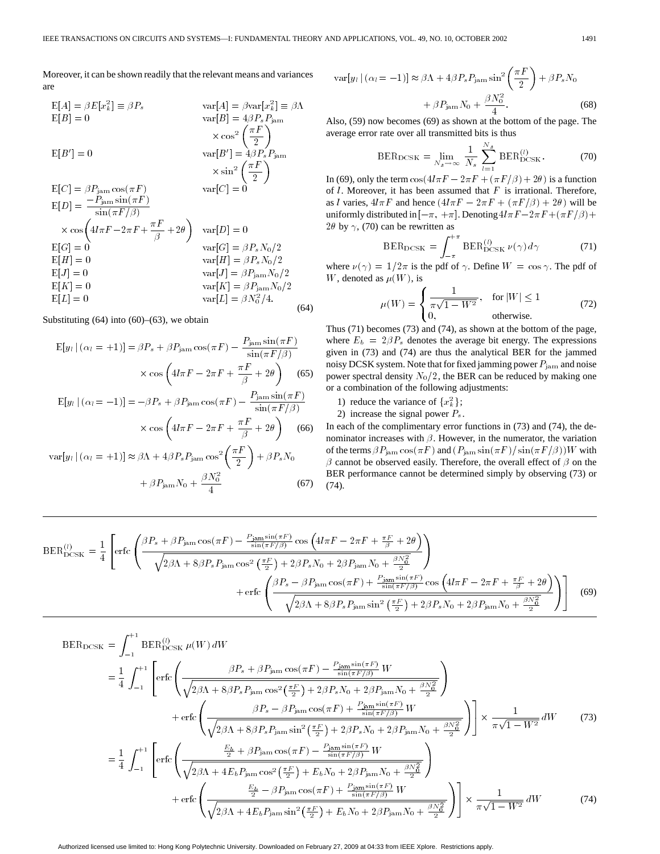Moreover, it can be shown readily that the relevant means and variances are

$$
E[A] = \beta E[x_k^2] \equiv \beta P_s
$$
  
\n
$$
E[B] = 0
$$
  
\n
$$
E[B'] = 0
$$
  
\n
$$
E[C] = \beta P_{jam} \cos(\pi F)
$$
  
\n
$$
E[D] = \frac{-P_{jam} \sin(\pi F)}{\sin(\pi F/\beta)}
$$
  
\n
$$
E[G] = 0
$$
  
\n
$$
E[G] = 0
$$
  
\n
$$
E[G] = 0
$$
  
\n
$$
E[G] = 0
$$
  
\n
$$
E[J] = 0
$$
  
\n
$$
E[G] = 0
$$
  
\n
$$
E[J] = 0
$$
  
\n
$$
E[G] = 0
$$
  
\n
$$
E[G] = 0
$$
  
\n
$$
E[G] = 0
$$
  
\n
$$
E[G] = 0
$$
  
\n
$$
E[G] = 0
$$
  
\n
$$
E[G] = 0
$$
  
\n
$$
E[G] = 0
$$
  
\n
$$
E[G] = 0
$$
  
\n
$$
E[G] = 0
$$
  
\n
$$
E[G] = 0
$$
  
\n
$$
E[G] = 0
$$
  
\n
$$
E[G] = 0
$$
  
\n
$$
E[G] = 0
$$
  
\n
$$
E[G] = 0
$$
  
\n
$$
Var[G] = \beta P_s N_0/2
$$
  
\n
$$
Var[G] = \beta P_s N_0/2
$$
  
\n
$$
Var[G] = \beta P_{jam} N_0/2
$$
  
\n
$$
Var[K] = \beta P_{jam} N_0/2
$$
  
\n
$$
Var[E] = \beta N_0^2/4.
$$
  
\n(64)

Substituting  $(64)$  into  $(60)$ – $(63)$ , we obtain

$$
E[y_l | (\alpha_l = +1)] = \beta P_s + \beta P_{jam} \cos(\pi F) - \frac{P_{jam} \sin(\pi F)}{\sin(\pi F/\beta)}
$$

$$
\times \cos\left(4l\pi F - 2\pi F + \frac{\pi F}{\beta} + 2\theta\right) \tag{65}
$$

$$
E[y_l | (\alpha_l = -1)] = -\beta P_s + \beta P_{jam} \cos(\pi F) - \frac{P_{jam} \sin(\pi F)}{\sin(\pi F/\beta)}
$$

$$
y_l \mid (\alpha_l = -1) \mid = -\beta P_s + \beta P_{\text{jam}} \cos(\pi F) - \frac{\sin(\pi F/\beta)}{\sin(\pi F/\beta)}
$$

$$
\times \cos\left(4l\pi F - 2\pi F + \frac{\pi F}{\beta} + 2\theta\right) \tag{66}
$$

$$
\text{var}[y_l \mid (\alpha_l = +1)] \approx \beta \Lambda + 4\beta P_s P_{\text{jam}} \cos^2\left(\frac{\pi F}{2}\right) + \beta P_s N_0
$$

$$
+ \beta P_{\text{jam}} N_0 + \frac{\beta N_0^2}{4} \tag{67}
$$

$$
\text{var}[y_l \mid (\alpha_l = -1)] \approx \beta \Lambda + 4\beta P_s P_{\text{jam}} \sin^2 \left(\frac{\pi F}{2}\right) + \beta P_s N_0
$$

$$
+ \beta P_{\text{jam}} N_0 + \frac{\beta N_0^2}{2}.
$$
(68)

$$
+ \beta P_{\text{jam}} N_0 + \frac{\beta P_{\text{jem}}}{4}.
$$
 (68)

Also, (59) now becomes (69) as shown at the bottom of the page. The average error rate over all transmitted bits is thus

$$
BER_{DCSK} = \lim_{N_s \to \infty} \frac{1}{N_s} \sum_{l=1}^{N_s} BER_{DCSK}^{(l)}.
$$
 (70)

In (69), only the term  $\cos(4l\pi F - 2\pi F + (\pi F/\beta) + 2\theta)$  is a function of  $l$ . Moreover, it has been assumed that  $F$  is irrational. Therefore, as l varies,  $4l\pi F$  and hence  $(4l\pi F - 2\pi F + (\pi F/\beta) + 2\theta)$  will be uniformly distributed in  $[-\pi, +\pi]$ . Denoting  $4l\pi F - 2\pi F + (\pi F/\beta) +$  $2\theta$  by  $\gamma$ , (70) can be rewritten as

$$
BER_{DCSK} = \int_{-\pi}^{+\pi} BER_{DCSK}^{(l)} \nu(\gamma) d\gamma \tag{71}
$$

where  $\nu(\gamma) = 1/2\pi$  is the pdf of  $\gamma$ . Define  $W = \cos \gamma$ . The pdf of W, denoted as  $\mu(W)$ , is

$$
\mu(W) = \begin{cases} \frac{1}{\pi\sqrt{1 - W^2}}, & \text{for } |W| \le 1\\ 0, & \text{otherwise.} \end{cases}
$$
(72)

Thus (71) becomes (73) and (74), as shown at the bottom of the page, where  $E_b = 2\beta P_s$  denotes the average bit energy. The expressions given in (73) and (74) are thus the analytical BER for the jammed noisy DCSK system. Note that for fixed jamming power  $P_{\text{jam}}$  and noise power spectral density  $N_0/2$ , the BER can be reduced by making one or a combination of the following adjustments:

1) reduce the variance of  $\{x_k^2\}$ ;

2) increase the signal power  $P_s$ .

In each of the complimentary error functions in  $(73)$  and  $(74)$ , the denominator increases with  $\beta$ . However, in the numerator, the variation of the terms  $\beta P_{\text{jam}} \cos(\pi F)$  and  $(P_{\text{jam}} \sin(\pi F)/\sin(\pi F/\beta))W$  with  $\beta$  cannot be observed easily. Therefore, the overall effect of  $\beta$  on the BER performance cannot be determined simply by observing (73) or (74).

$$
BER_{DCSK}^{(l)} = \frac{1}{4} \left[ erfc \left( \frac{\beta P_s + \beta P_{jam} \cos(\pi F) - \frac{P_{jam} \sin(\pi F)}{\sin(\pi F/\beta)} \cos\left(4l\pi F - 2\pi F + \frac{\pi F}{\beta} + 2\theta\right)}{\sqrt{2\beta \Lambda + 8\beta P_s P_{jam} \cos^2\left(\frac{\pi F}{2}\right) + 2\beta P_s N_0 + 2\beta P_{jam} N_0 + \frac{\beta N_0^2}{2}}}\right) + erfc \left( \frac{\beta P_s - \beta P_{jam} \cos(\pi F) + \frac{P_{jam} \sin(\pi F)}{\sin(\pi F/\beta)} \cos\left(4l\pi F - 2\pi F + \frac{\pi F}{\beta} + 2\theta\right)}{\sqrt{2\beta \Lambda + 8\beta P_s P_{jam} \sin^2\left(\frac{\pi F}{2}\right) + 2\beta P_s N_0 + 2\beta P_{jam} N_0 + \frac{\beta N_0^2}{2}}}\right) \right]
$$
(69)

$$
BER_{DCSK} = \int_{-1}^{+1} BER_{DCSK}^{(l)} \mu(W) dW
$$
  
\n
$$
= \frac{1}{4} \int_{-1}^{+1} \left[ erfc \left( \frac{\beta P_s + \beta P_{jam} \cos(\pi F) - \frac{P_{jam} \sin(\pi F)}{\sin(\pi F/\beta)} W}{\sqrt{2\beta \Lambda + 8\beta P_s P_{jam} \cos^2(\frac{\pi F}{2}) + 2\beta P_s N_0 + 2\beta P_{jam} N_0 + \frac{\beta N_0^2}{2}}}\right) + erfc \left( \frac{\beta P_s - \beta P_{jam} \cos(\pi F) + \frac{P_{jam} \sin(\pi F)}{\sin(\pi F/\beta)} W}{\sqrt{2\beta \Lambda + 8\beta P_s P_{jam} \sin^2(\frac{\pi F}{2}) + 2\beta P_s N_0 + 2\beta P_{jam} N_0 + \frac{\beta N_0^2}{2}}}\right) \right] \times \frac{1}{\pi \sqrt{1 - W^2}} dW \qquad (73)
$$
  
\n
$$
= \frac{1}{4} \int_{-1}^{+1} \left[ erfc \left( \frac{\frac{E_b}{2} + \beta P_{jam} \cos(\pi F) - \frac{P_{jam} \sin(\pi F)}{\sin(\pi F/\beta)} W}{\sqrt{2\beta \Lambda + 4E_b P_{jam} \cos^2(\frac{\pi F}{2}) + E_b N_0 + 2\beta P_{jam} N_0 + \frac{\beta N_0^2}{2}}}\right) + erfc \left( \frac{\frac{E_b}{2} - \beta P_{jam} \cos(\pi F) + \frac{P_{jam} \sin(\pi F)}{\sin(\pi F/\beta)} W}{\sqrt{2\beta \Lambda + 4E_b P_{jam} \sin^2(\frac{\pi F}{2}) + E_b N_0 + 2\beta P_{jam} N_0 + \frac{\beta N_0^2}{2}}}\right) \right] \times \frac{1}{\pi \sqrt{1 - W^2}} dW \qquad (74)
$$

Authorized licensed use limited to: Hong Kong Polytechnic University. Downloaded on February 27, 2009 at 04:33 from IEEE Xplore. Restrictions apply.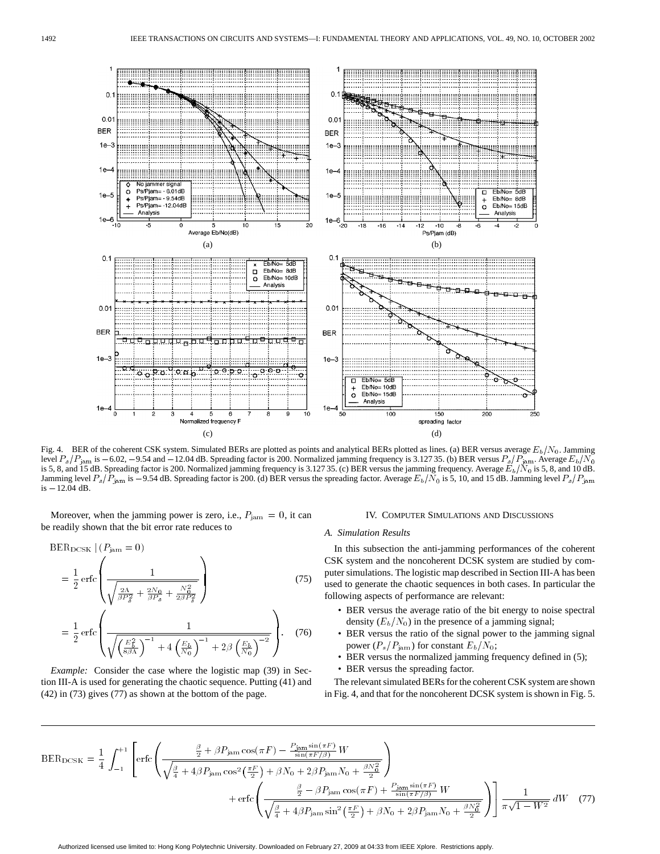

Fig. 4. BER of the coherent CSK system. Simulated BERs are plotted as points and analytical BERs plotted as lines. (a) BER versus average  $E_b/N_0$ . Jamming (c)<br>Fig. 4. BER of the coherent CSK system. Simulated BERs are plotted as points and analytical BERs plotted as lines. (a) BER versus average  $E_b/N_0$ . Jammin<br>level  $P_s/P_{\text{jam}}$  is  $-6.02$ ,  $-9.54$  and  $-12.04$  dB. Spreadin is 5, 8, and 15 dB. Spreading factor is 200. Normalized jamming frequency is 3.127 35. (c) BER versus the jamming frequency. Average  $E_b/N_0$  is 5, 8, and 10 dB. Fig. 4. BER of the coherent CSK system. Simulated BERs are plotted as points and analytical BERs plotted as lines. (a) BER versus average  $E_b/N_0$ . Jamm<br>level  $P_s/P_{\text{jam}}$  is  $-6.02, -9.54$  and  $-12.04$  dB. Spreading factor level  $P_s/P_{\text{jam}}$  is  $-6.02$ ,  $-9.54$  and  $-12.04$  dB. Spreading factor is 200. Normalized jamming frequency is 3.12735. (b) BER versus  $P_s/P_{\text{jam}}$ . Average  $E_b/N_0$  is 5, 8, and 15 dB. Spreading factor is 200. Normalized

Moreover, when the jamming power is zero, i.e.,  $P_{\text{jam}} = 0$ , it can be readily shown that the bit error rate reduces to

$$
BER_{DCSK} | (P_{jam} = 0)
$$
  
=  $\frac{1}{2} \operatorname{erfc} \left( \frac{1}{\sqrt{\frac{2\Lambda}{\beta P_s^2} + \frac{2N_0}{\beta P_s} + \frac{N_0^2}{2\beta P_s^2}}} \right)$  (75)  
=  $\frac{1}{2} \operatorname{erfc} \left( \frac{1}{\sqrt{\left(\frac{E_b^2}{8\beta \Lambda}\right)^{-1} + 4\left(\frac{E_b}{N_0}\right)^{-1} + 2\beta \left(\frac{E_b}{N_0}\right)^{-2}}}} \right)$ . (76)

*Example:* Consider the case where the logistic map (39) in Section III-A is used for generating the chaotic sequence. Putting (41) and (42) in (73) gives (77) as shown at the bottom of the page.

# IV. COMPUTER SIMULATIONS AND DISCUSSIONS

# *A. Simulation Results*

In this subsection the anti-jamming performances of the coherent CSK system and the noncoherent DCSK system are studied by computer simulations. The logistic map described in Section III-A has been used to generate the chaotic sequences in both cases. In particular the following aspects of performance are relevant:

- BER versus the average ratio of the bit energy to noise spectral density  $(E_b/N_0)$  in the presence of a jamming signal;
- BER versus the ratio of the signal power to the jamming signal power  $(P_s/P_{\text{jam}})$  for constant  $E_b/N_0$ ;
- BER versus the normalized jamming frequency defined in (5);
- BER versus the spreading factor.

The relevant simulated BERs for the coherent CSK system are shown in Fig. 4, and that for the noncoherent DCSK system is shown in Fig. 5.

$$
BER_{DCSK} = \frac{1}{4} \int_{-1}^{+1} \left[ \text{erfc}\left(\frac{\frac{\beta}{2} + \beta P_{\text{jam}}\cos(\pi F) - \frac{P_{\text{jam}}\sin(\pi F)}{\sin(\pi F/\beta)}W}{\sqrt{\frac{\beta}{4} + 4\beta P_{\text{jam}}\cos^2(\frac{\pi F}{2}) + \beta N_0 + 2\beta P_{\text{jam}}N_0 + \frac{\beta N_0^2}{2}}}\right) + \text{erfc}\left(\frac{\frac{\beta}{2} - \beta P_{\text{jam}}\cos(\pi F) + \frac{P_{\text{jam}}\sin(\pi F)}{\sin(\pi F/\beta)}W}{\sqrt{\frac{\beta}{4} + 4\beta P_{\text{jam}}\sin^2(\frac{\pi F}{2}) + \beta N_0 + 2\beta P_{\text{jam}}N_0 + \frac{\beta N_0^2}{2}}}\right)\right] \frac{1}{\pi\sqrt{1 - W^2}} dW \quad (77)
$$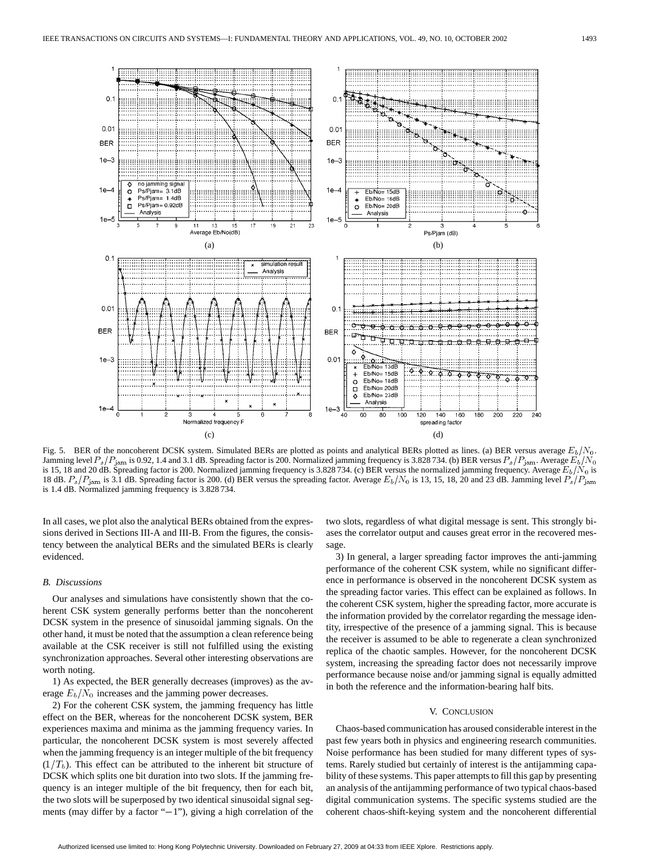

Fig. 5. BER of the noncoherent DCSK system. Simulated BERs are plotted as points and analytical BERs plotted as lines. (a) BER versus average  $E_b/N_0$ . Jamming level  $P_s/P_{\text{jam}}$  is 0.92, 1.4 and 3.1 dB. Spreading factor is 200. Normalized jamming frequency is 3.828 734. (b) BER versus  $P_s/P_{\text{jam}}$ . Average  $E_b/N_0$ is 15, 18 and 20 dB. Spreading factor is 200. Normalized jamming frequency is 3.828 734. (c) BER versus the normalized jamming frequency. Average  $E_b/N_0$  is 18 dB.  $P_s/P_{\text{jam}}$  is 3.1 dB. Spreading factor is 200. (d) BER versus the spreading factor. Average  $E_b/N_0$  is 13, 15, 18, 20 and 23 dB. Jamming level  $P_s/P_{\text{jam}}$ is 1.4 dB. Normalized jamming frequency is 3.828 734.

In all cases, we plot also the analytical BERs obtained from the expressions derived in Sections III-A and III-B. From the figures, the consistency between the analytical BERs and the simulated BERs is clearly evidenced.

### *B. Discussions*

Our analyses and simulations have consistently shown that the coherent CSK system generally performs better than the noncoherent DCSK system in the presence of sinusoidal jamming signals. On the other hand, it must be noted that the assumption a clean reference being available at the CSK receiver is still not fulfilled using the existing synchronization approaches. Several other interesting observations are worth noting.

1) As expected, the BER generally decreases (improves) as the average  $E_b/N_0$  increases and the jamming power decreases.

2) For the coherent CSK system, the jamming frequency has little effect on the BER, whereas for the noncoherent DCSK system, BER experiences maxima and minima as the jamming frequency varies. In particular, the noncoherent DCSK system is most severely affected when the jamming frequency is an integer multiple of the bit frequency  $(1/T_b)$ . This effect can be attributed to the inherent bit structure of DCSK which splits one bit duration into two slots. If the jamming frequency is an integer multiple of the bit frequency, then for each bit, the two slots will be superposed by two identical sinusoidal signal segments (may differ by a factor " $-1$ "), giving a high correlation of the two slots, regardless of what digital message is sent. This strongly biases the correlator output and causes great error in the recovered message.

3) In general, a larger spreading factor improves the anti-jamming performance of the coherent CSK system, while no significant difference in performance is observed in the noncoherent DCSK system as the spreading factor varies. This effect can be explained as follows. In the coherent CSK system, higher the spreading factor, more accurate is the information provided by the correlator regarding the message identity, irrespective of the presence of a jamming signal. This is because the receiver is assumed to be able to regenerate a clean synchronized replica of the chaotic samples. However, for the noncoherent DCSK system, increasing the spreading factor does not necessarily improve performance because noise and/or jamming signal is equally admitted in both the reference and the information-bearing half bits.

#### V. CONCLUSION

Chaos-based communication has aroused considerable interest in the past few years both in physics and engineering research communities. Noise performance has been studied for many different types of systems. Rarely studied but certainly of interest is the antijamming capability of these systems. This paper attempts to fill this gap by presenting an analysis of the antijamming performance of two typical chaos-based digital communication systems. The specific systems studied are the coherent chaos-shift-keying system and the noncoherent differential